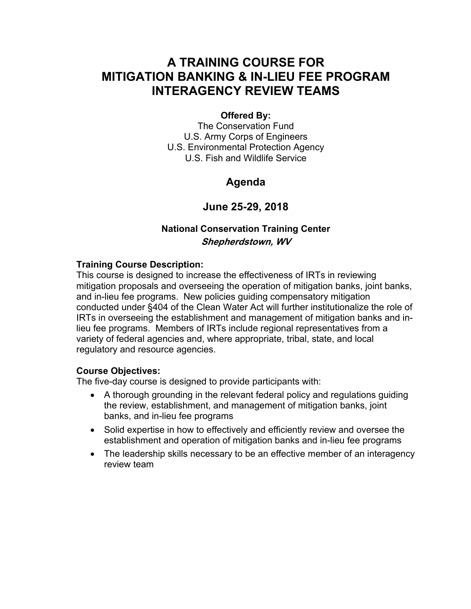### **A TRAINING COURSE FOR MITIGATION BANKING & IN-LIEU FEE PROGRAM INTERAGENCY REVIEW TEAMS**

#### **Offered By:**

The Conservation Fund U.S. Army Corps of Engineers U.S. Environmental Protection Agency U.S. Fish and Wildlife Service

### **Agenda**

### **June 25-29, 2018**

### **National Conservation Training Center Shepherdstown, WV**

#### **Training Course Description:**

This course is designed to increase the effectiveness of IRTs in reviewing mitigation proposals and overseeing the operation of mitigation banks, joint banks, and in-lieu fee programs. New policies guiding compensatory mitigation conducted under §404 of the Clean Water Act will further institutionalize the role of IRTs in overseeing the establishment and management of mitigation banks and inlieu fee programs. Members of IRTs include regional representatives from a variety of federal agencies and, where appropriate, tribal, state, and local regulatory and resource agencies.

#### **Course Objectives:**

The five-day course is designed to provide participants with:

- A thorough grounding in the relevant federal policy and regulations guiding the review, establishment, and management of mitigation banks, joint banks, and in-lieu fee programs
- Solid expertise in how to effectively and efficiently review and oversee the establishment and operation of mitigation banks and in-lieu fee programs
- The leadership skills necessary to be an effective member of an interagency review team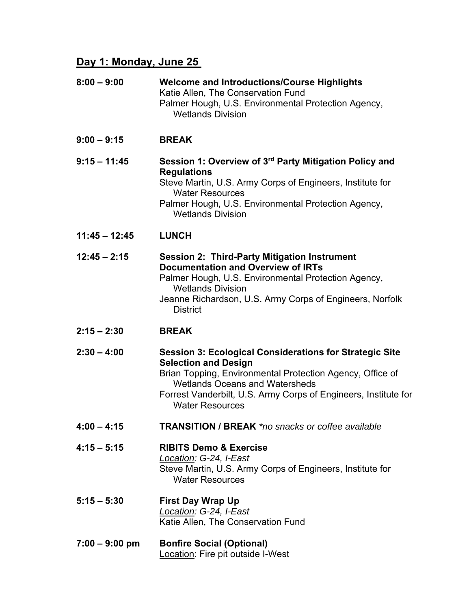# **Day 1: Monday, June 25**

| $8:00 - 9:00$    | <b>Welcome and Introductions/Course Highlights</b><br>Katie Allen, The Conservation Fund<br>Palmer Hough, U.S. Environmental Protection Agency,<br><b>Wetlands Division</b>                                                                                                                      |
|------------------|--------------------------------------------------------------------------------------------------------------------------------------------------------------------------------------------------------------------------------------------------------------------------------------------------|
| $9:00 - 9:15$    | <b>BREAK</b>                                                                                                                                                                                                                                                                                     |
| $9:15 - 11:45$   | Session 1: Overview of 3rd Party Mitigation Policy and<br><b>Regulations</b><br>Steve Martin, U.S. Army Corps of Engineers, Institute for<br><b>Water Resources</b><br>Palmer Hough, U.S. Environmental Protection Agency,<br><b>Wetlands Division</b>                                           |
| $11:45 - 12:45$  | <b>LUNCH</b>                                                                                                                                                                                                                                                                                     |
| $12:45 - 2:15$   | <b>Session 2: Third-Party Mitigation Instrument</b><br><b>Documentation and Overview of IRTs</b><br>Palmer Hough, U.S. Environmental Protection Agency,<br><b>Wetlands Division</b><br>Jeanne Richardson, U.S. Army Corps of Engineers, Norfolk<br><b>District</b>                               |
| $2:15 - 2:30$    | <b>BREAK</b>                                                                                                                                                                                                                                                                                     |
| $2:30 - 4:00$    | <b>Session 3: Ecological Considerations for Strategic Site</b><br><b>Selection and Design</b><br>Brian Topping, Environmental Protection Agency, Office of<br><b>Wetlands Oceans and Watersheds</b><br>Forrest Vanderbilt, U.S. Army Corps of Engineers, Institute for<br><b>Water Resources</b> |
| $4:00 - 4:15$    | <b>TRANSITION / BREAK</b> *no snacks or coffee available                                                                                                                                                                                                                                         |
| $4:15 - 5:15$    | <b>RIBITS Demo &amp; Exercise</b><br>Location: G-24, I-East<br>Steve Martin, U.S. Army Corps of Engineers, Institute for<br><b>Water Resources</b>                                                                                                                                               |
| $5:15 - 5:30$    | <b>First Day Wrap Up</b><br>Location: G-24, I-East<br>Katie Allen, The Conservation Fund                                                                                                                                                                                                         |
| $7:00 - 9:00$ pm | <b>Bonfire Social (Optional)</b><br><b>Location: Fire pit outside I-West</b>                                                                                                                                                                                                                     |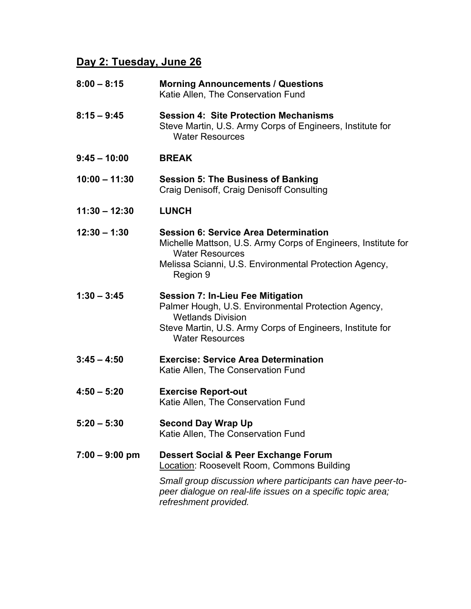# **Day 2: Tuesday, June 26**

| $8:00 - 8:15$    | <b>Morning Announcements / Questions</b><br>Katie Allen, The Conservation Fund                                                                                                                                                            |
|------------------|-------------------------------------------------------------------------------------------------------------------------------------------------------------------------------------------------------------------------------------------|
| $8:15 - 9:45$    | <b>Session 4: Site Protection Mechanisms</b><br>Steve Martin, U.S. Army Corps of Engineers, Institute for<br><b>Water Resources</b>                                                                                                       |
| $9:45 - 10:00$   | <b>BREAK</b>                                                                                                                                                                                                                              |
| $10:00 - 11:30$  | <b>Session 5: The Business of Banking</b><br>Craig Denisoff, Craig Denisoff Consulting                                                                                                                                                    |
| $11:30 - 12:30$  | <b>LUNCH</b>                                                                                                                                                                                                                              |
| $12:30 - 1:30$   | <b>Session 6: Service Area Determination</b><br>Michelle Mattson, U.S. Army Corps of Engineers, Institute for<br><b>Water Resources</b><br>Melissa Scianni, U.S. Environmental Protection Agency,<br>Region 9                             |
| $1:30 - 3:45$    | <b>Session 7: In-Lieu Fee Mitigation</b><br>Palmer Hough, U.S. Environmental Protection Agency,<br><b>Wetlands Division</b><br>Steve Martin, U.S. Army Corps of Engineers, Institute for<br><b>Water Resources</b>                        |
| $3:45 - 4:50$    | <b>Exercise: Service Area Determination</b><br>Katie Allen, The Conservation Fund                                                                                                                                                         |
| $4:50 - 5:20$    | <b>Exercise Report-out</b><br>Katie Allen, The Conservation Fund                                                                                                                                                                          |
| $5:20 - 5:30$    | <b>Second Day Wrap Up</b><br>Katie Allen, The Conservation Fund                                                                                                                                                                           |
| $7:00 - 9:00$ pm | Dessert Social & Peer Exchange Forum<br>Location: Roosevelt Room, Commons Building<br>Small group discussion where participants can have peer-to-<br>peer dialogue on real-life issues on a specific topic area;<br>refreshment provided. |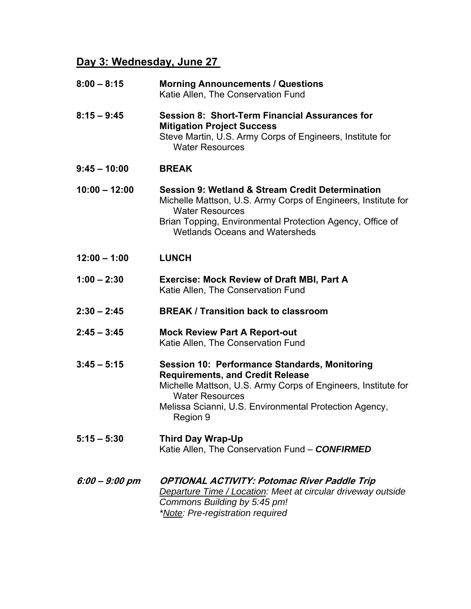# **Day 3: Wednesday, June 27**

| $8:00 - 8:15$    | <b>Morning Announcements / Questions</b><br>Katie Allen, The Conservation Fund                                                                                                                                                                                   |
|------------------|------------------------------------------------------------------------------------------------------------------------------------------------------------------------------------------------------------------------------------------------------------------|
| $8:15 - 9:45$    | <b>Session 8: Short-Term Financial Assurances for</b><br><b>Mitigation Project Success</b><br>Steve Martin, U.S. Army Corps of Engineers, Institute for<br><b>Water Resources</b>                                                                                |
| $9:45 - 10:00$   | <b>BREAK</b>                                                                                                                                                                                                                                                     |
| $10:00 - 12:00$  | <b>Session 9: Wetland &amp; Stream Credit Determination</b><br>Michelle Mattson, U.S. Army Corps of Engineers, Institute for<br><b>Water Resources</b><br>Brian Topping, Environmental Protection Agency, Office of<br><b>Wetlands Oceans and Watersheds</b>     |
| $12:00 - 1:00$   | <b>LUNCH</b>                                                                                                                                                                                                                                                     |
| $1:00 - 2:30$    | <b>Exercise: Mock Review of Draft MBI, Part A</b><br>Katie Allen, The Conservation Fund                                                                                                                                                                          |
| $2:30 - 2:45$    | <b>BREAK / Transition back to classroom</b>                                                                                                                                                                                                                      |
| $2:45 - 3:45$    | <b>Mock Review Part A Report-out</b><br>Katie Allen, The Conservation Fund                                                                                                                                                                                       |
| $3:45 - 5:15$    | <b>Session 10: Performance Standards, Monitoring</b><br><b>Requirements, and Credit Release</b><br>Michelle Mattson, U.S. Army Corps of Engineers, Institute for<br><b>Water Resources</b><br>Melissa Scianni, U.S. Environmental Protection Agency,<br>Region 9 |
| $5:15 - 5:30$    | <b>Third Day Wrap-Up</b><br>Katie Allen, The Conservation Fund - CONFIRMED                                                                                                                                                                                       |
| $6:00 - 9:00$ pm | OPTIONAL ACTIVITY: Potomac River Paddle Trip<br><b>Departure Time / Location: Meet at circular driveway outside</b><br>Commons Building by 5:45 pm!<br>*Note: Pre-registration required                                                                          |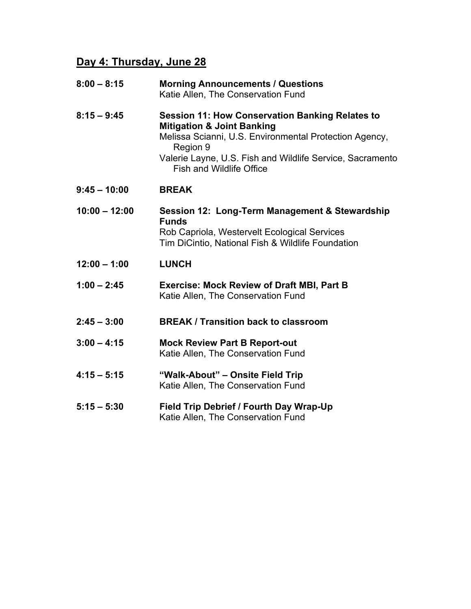# **Day 4: Thursday, June 28**

| $8:00 - 8:15$   | <b>Morning Announcements / Questions</b><br>Katie Allen, The Conservation Fund                                                                                                                                                                                        |
|-----------------|-----------------------------------------------------------------------------------------------------------------------------------------------------------------------------------------------------------------------------------------------------------------------|
| $8:15 - 9:45$   | <b>Session 11: How Conservation Banking Relates to</b><br><b>Mitigation &amp; Joint Banking</b><br>Melissa Scianni, U.S. Environmental Protection Agency,<br>Region 9<br>Valerie Layne, U.S. Fish and Wildlife Service, Sacramento<br><b>Fish and Wildlife Office</b> |
| $9:45 - 10:00$  | <b>BREAK</b>                                                                                                                                                                                                                                                          |
| $10:00 - 12:00$ | Session 12: Long-Term Management & Stewardship<br><b>Funds</b><br>Rob Capriola, Westervelt Ecological Services<br>Tim DiCintio, National Fish & Wildlife Foundation                                                                                                   |
| $12:00 - 1:00$  | <b>LUNCH</b>                                                                                                                                                                                                                                                          |
| $1:00 - 2:45$   | <b>Exercise: Mock Review of Draft MBI, Part B</b><br>Katie Allen, The Conservation Fund                                                                                                                                                                               |
| $2:45 - 3:00$   | <b>BREAK / Transition back to classroom</b>                                                                                                                                                                                                                           |
| $3:00 - 4:15$   | <b>Mock Review Part B Report-out</b><br>Katie Allen, The Conservation Fund                                                                                                                                                                                            |
| $4:15 - 5:15$   | "Walk-About" - Onsite Field Trip<br>Katie Allen, The Conservation Fund                                                                                                                                                                                                |
| $5:15 - 5:30$   | Field Trip Debrief / Fourth Day Wrap-Up<br>Katie Allen, The Conservation Fund                                                                                                                                                                                         |